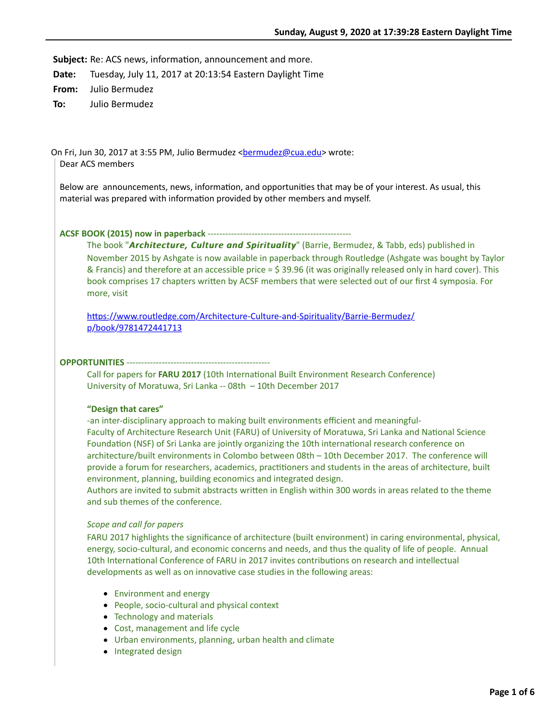**Subject:** Re: ACS news, information, announcement and more.

**Date:** Tuesday, July 11, 2017 at 20:13:54 Eastern Daylight Time

**From:** Julio Bermudez

**To:** Julio Bermudez

On Fri, Jun 30, 2017 at 3:55 PM, Julio Bermudez <br/>[bermudez@cua.edu](mailto:bermudez@cua.edu)> wrote: Dear ACS members

Below are announcements, news, information, and opportunities that may be of your interest. As usual, this material was prepared with information provided by other members and myself.

**ACSF BOOK (2015) now in paperback** -------------------------------------------------

The book "*Architecture, Culture and Spirituality Culture and Spirituality*" (Barrie, Bermudez, & Tabb, eds) published in November 2015 by Ashgate is now available in paperback through Routledge (Ashgate was bought by Taylor & Francis) and therefore at an accessible price = \$ 39.96 (it was originally released only in hard cover). This book comprises 17 chapters written by ACSF members that were selected out of our first 4 symposia. For more, visit

https://www.routledge.com/Architecture-Culture-and-Spirituality/Barrie-Bermudez/ p/book/9781472441713

#### **OPPORTUNITIES** -------------------------------------------------

Call for papers for **FARU 2017** (10th International Built Environment Research Conference) University of Moratuwa, Sri Lanka -- 08th – 10th December 2017

## **"Design that cares"**

-an inter-disciplinary approach to making built environments efficient and meaningful-Faculty of Architecture Research Unit (FARU) of University of Moratuwa, Sri Lanka and National Science Foundation (NSF) of Sri Lanka are jointly organizing the 10th international research conference on architecture/built environments in Colombo between 08th – 10th December 2017. The conference will provide a forum for researchers, academics, practitioners and students in the areas of architecture, built environment, planning, building economics and integrated design.

Authors are invited to submit abstracts written in English within 300 words in areas related to the theme and sub themes of the conference.

# *Scope and call for papers*

FARU 2017 highlights the significance of architecture (built environment) in caring environmental, physical, energy, socio-cultural, and economic concerns and needs, and thus the quality of life of people. Annual 10th International Conference of FARU in 2017 invites contributions on research and intellectual developments as well as on innovative case studies in the following areas:

- Environment and energy
- People, socio-cultural and physical context
- Technology and materials
- Cost, management and life cycle
- Urban environments, planning, urban health and climate
- Integrated design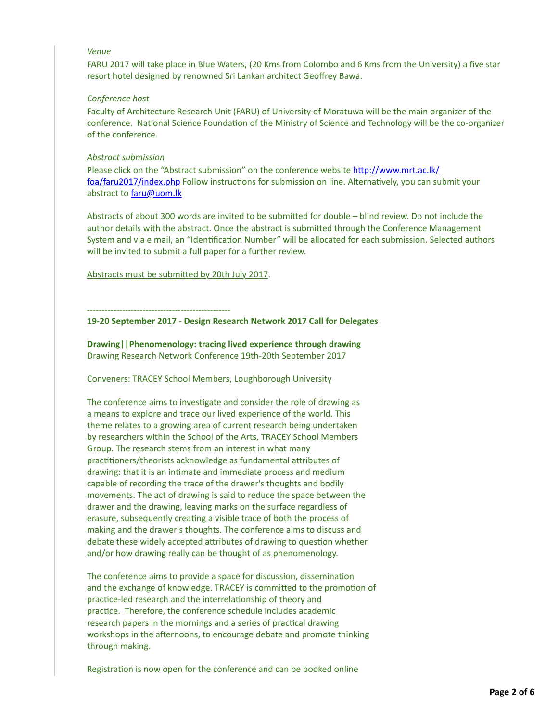# *Venue*

FARU 2017 will take place in Blue Waters, (20 Kms from Colombo and 6 Kms from the University) a five star resort hotel designed by renowned Sri Lankan architect Geoffrey Bawa.

## *Conference host*

Faculty of Architecture Research Unit (FARU) of University of Moratuwa will be the main organizer of the conference. National Science Foundation of the Ministry of Science and Technology will be the co-organizer of the conference.

### *Abstract submission*

Please click on the "Abstract submission" on the conference website http://www.mrt.ac.lk/ foa/faru2017/index.php Follow instructions for submission on line. Alternatively, you can submit your abstract to [faru@uom.lk](mailto:faru@uom.lk)

Abstracts of about 300 words are invited to be submitted for double – blind review. Do not include the author details with the abstract. Once the abstract is submitted through the Conference Management System and via e mail, an "Identification Number" will be allocated for each submission. Selected authors will be invited to submit a full paper for a further review.

Abstracts must be submitted by 20th July 2017.

-------------------------------------------------

**19-20 September 2017 - Design Research Network 2017 Call for Delegates**

**Drawing||Phenomenology: tracing lived experience through drawing** Drawing Research Network Conference 19th-20th September 2017

Conveners: TRACEY School Members, Loughborough University

The conference aims to investigate and consider the role of drawing as a means to explore and trace our lived experience of the world. This theme relates to a growing area of current research being undertaken by researchers within the School of the Arts, TRACEY School Members Group. The research stems from an interest in what many practitioners/theorists acknowledge as fundamental attributes of drawing: that it is an intimate and immediate process and medium capable of recording the trace of the drawer's thoughts and bodily movements. The act of drawing is said to reduce the space between the drawer and the drawing, leaving marks on the surface regardless of erasure, subsequently creating a visible trace of both the process of making and the drawer's thoughts. The conference aims to discuss and debate these widely accepted attributes of drawing to question whether and/or how drawing really can be thought of as phenomenology.

The conference aims to provide a space for discussion, dissemination and the exchange of knowledge. TRACEY is committed to the promotion of practice-led research and the interrelationship of theory and practice. Therefore, the conference schedule includes academic research papers in the mornings and a series of practical drawing workshops in the afternoons, to encourage debate and promote thinking through making.

Registration is now open for the conference and can be booked online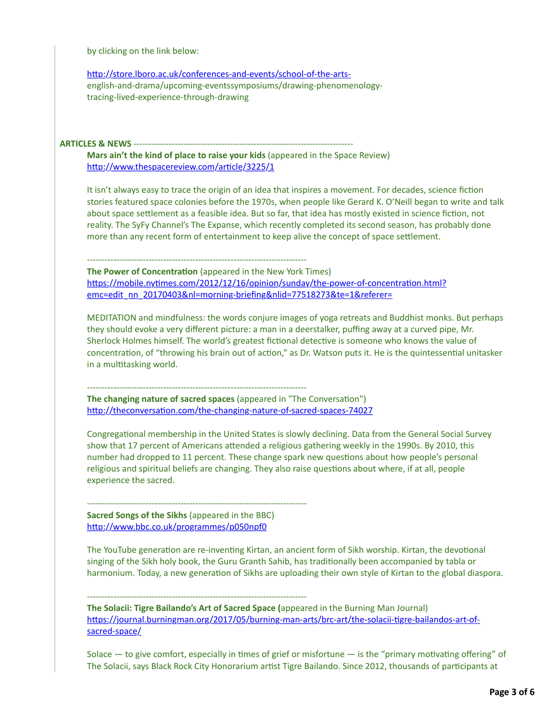by clicking on the link below:

http://store.lboro.ac.uk/conferences-and-events/school-of-the-artsenglish-and-drama/upcoming-eventssymposiums/drawing-phenomenologytracing-lived-experience-through-drawing

**ARTICLES & NEWS** ---------------------------------------------------------------------------

**Mars ain't the kind of place to raise your kids** (appeared in the Space Review) http://www.thespacereview.com/article/3225/1

It isn't always easy to trace the origin of an idea that inspires a movement. For decades, science fiction stories featured space colonies before the 1970s, when people like Gerard K. O'Neill began to write and talk about space settlement as a feasible idea. But so far, that idea has mostly existed in science fiction, not reality. The SyFy Channel's The Expanse, which recently completed its second season, has probably done more than any recent form of entertainment to keep alive the concept of space settlement.

--------------------------------------------------------------------------- **The Power of Concentration** (appeared in the New York Times) https://mobile.nytimes.com/2012/12/16/opinion/sunday/the-power-of-concentration.html? emc=edit\_nn\_20170403&nl=morning-briefing&nlid=77518273&te=1&referer=

MEDITATION and mindfulness: the words conjure images of yoga retreats and Buddhist monks. But perhaps they should evoke a very different picture: a man in a deerstalker, puffing away at a curved pipe, Mr. Sherlock Holmes himself. The world's greatest fictional detective is someone who knows the value of concentration, of "throwing his brain out of action," as Dr. Watson puts it. He is the quintessential unitasker in a multitasking world.

--------------------------------------------------------------------------- **The changing nature of sacred spaces** (appeared in "The Conversation") http://theconversation.com/the-changing-nature-of-sacred-spaces-74027

Congregational membership in the United States is slowly declining. Data from the General Social Survey show that 17 percent of Americans attended a religious gathering weekly in the 1990s. By 2010, this number had dropped to 11 percent. These change spark new questions about how people's personal religious and spiritual beliefs are changing. They also raise questions about where, if at all, people experience the sacred.

--------------------------------------------------------------------------- **Sacred Songs of the Sikhs** (appeared in the BBC) http://www.bbc.co.uk/programmes/p050npf0

The YouTube generation are re-inventing Kirtan, an ancient form of Sikh worship. Kirtan, the devotional singing of the Sikh holy book, the Guru Granth Sahib, has traditionally been accompanied by tabla or harmonium. Today, a new generation of Sikhs are uploading their own style of Kirtan to the global diaspora.

--------------------------------------------------------------------------- **The Solacii: Tigre Bailando's Art of Sacred Space (**appeared in the Burning Man Journal) https://journal.burningman.org/2017/05/burning-man-arts/brc-art/the-solacii-tigre-bailandos-art-ofsacred-space/

Solace  $-$  to give comfort, especially in times of grief or misfortune  $-$  is the "primary motivating offering" of The Solacii, says Black Rock City Honorarium artist Tigre Bailando. Since 2012, thousands of participants at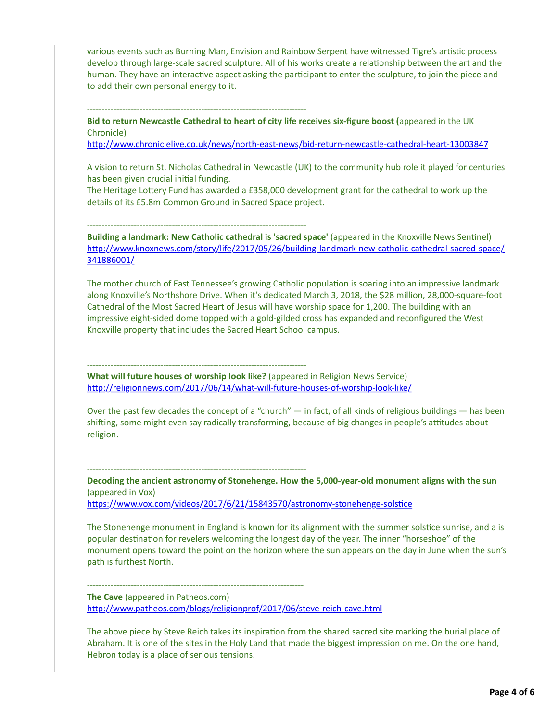various events such as Burning Man, Envision and Rainbow Serpent have witnessed Tigre's artistic process develop through large-scale sacred sculpture. All of his works create a relationship between the art and the human. They have an interactive aspect asking the participant to enter the sculpture, to join the piece and to add their own personal energy to it.

---------------------------------------------------------------------------

**Bid to return Newcastle Cathedral to heart of city life receives six-figure boost (**appeared in the UK Chronicle)

http://www.chroniclelive.co.uk/news/north-east-news/bid-return-newcastle-cathedral-heart-13003847

A vision to return St. Nicholas Cathedral in Newcastle (UK) to the community hub role it played for centuries has been given crucial initial funding.

The Heritage Lottery Fund has awarded a £358,000 development grant for the cathedral to work up the details of its £5.8m Common Ground in Sacred Space project.

---------------------------------------------------------------------------

---------------------------------------------------------------------------

--------------------------------------------------------------------------

**Building a landmark: New Catholic cathedral is 'sacred space' (appeared in the Knoxville News Sentinel)** http://www.knoxnews.com/story/life/2017/05/26/building-landmark-new-catholic-cathedral-sacred-space/ 341886001/

The mother church of East Tennessee's growing Catholic population is soaring into an impressive landmark along Knoxville's Northshore Drive. When it's dedicated March 3, 2018, the \$28 million, 28,000-square-foot Cathedral of the Most Sacred Heart of Jesus will have worship space for 1,200. The building with an impressive eight-sided dome topped with a gold-gilded cross has expanded and reconfigured the West Knoxville property that includes the Sacred Heart School campus.

--------------------------------------------------------------------------- **What will future houses of worship look like?** (appeared in Religion News Service) http://religionnews.com/2017/06/14/what-will-future-houses-of-worship-look-like/

Over the past few decades the concept of a "church"  $-$  in fact, of all kinds of religious buildings  $-$  has been shifting, some might even say radically transforming, because of big changes in people's attitudes about religion.

**Decoding the ancient astronomy of Stonehenge. How the 5,000-year-old monument aligns with the sun** (appeared in Vox)

https://www.vox.com/videos/2017/6/21/15843570/astronomy-stonehenge-solstice

The Stonehenge monument in England is known for its alignment with the summer solstice sunrise, and a is popular destination for revelers welcoming the longest day of the year. The inner "horseshoe" of the monument opens toward the point on the horizon where the sun appears on the day in June when the sun's path is furthest North.

**The Cave** (appeared in Patheos.com) http://www.patheos.com/blogs/religionprof/2017/06/steve-reich-cave.html

The above piece by Steve Reich takes its inspiration from the shared sacred site marking the burial place of Abraham. It is one of the sites in the Holy Land that made the biggest impression on me. On the one hand, Hebron today is a place of serious tensions.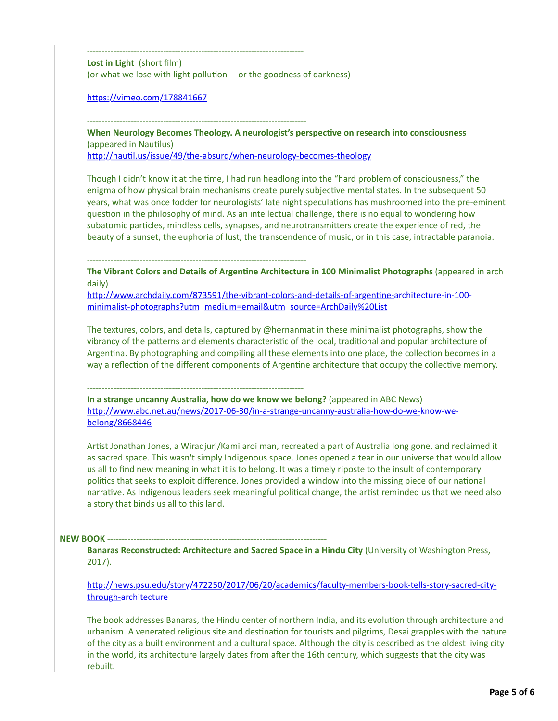-------------------------------------------------------------------------- **Lost in Light** (short film) (or what we lose with light pollution ---or the goodness of darkness)

https://vimeo.com/178841667

When Neurology Becomes Theology. A neurologist's perspective on research into consciousness (appeared in Nautilus)

http://nautil.us/issue/49/the-absurd/when-neurology-becomes-theology

Though I didn't know it at the time, I had run headlong into the "hard problem of consciousness," the enigma of how physical brain mechanisms create purely subjective mental states. In the subsequent 50 years, what was once fodder for neurologists' late night speculations has mushroomed into the pre-eminent question in the philosophy of mind. As an intellectual challenge, there is no equal to wondering how subatomic particles, mindless cells, synapses, and neurotransmitters create the experience of red, the beauty of a sunset, the euphoria of lust, the transcendence of music, or in this case, intractable paranoia.

---------------------------------------------------------------------------

---------------------------------------------------------------------------

**The Vibrant Colors and Details of Argentine Architecture in 100 Minimalist Photographs** (appeared in arch daily)

http://www.archdaily.com/873591/the-vibrant-colors-and-details-of-argentine-architecture-in-100minimalist-photographs?utm\_medium=email&utm\_source=ArchDaily%20List

The textures, colors, and details, captured by @hernanmat in these minimalist photographs, show the vibrancy of the patterns and elements characteristic of the local, traditional and popular architecture of Argentina. By photographing and compiling all these elements into one place, the collection becomes in a way a reflection of the different components of Argentine architecture that occupy the collective memory.

--------------------------------------------------------------------------

**In a strange uncanny Australia, how do we know we belong?** (appeared in ABC News) http://www.abc.net.au/news/2017-06-30/in-a-strange-uncanny-australia-how-do-we-know-webelong/8668446

Artist Jonathan Jones, a Wiradjuri/Kamilaroi man, recreated a part of Australia long gone, and reclaimed it as sacred space. This wasn't simply Indigenous space. Jones opened a tear in our universe that would allow us all to find new meaning in what it is to belong. It was a timely riposte to the insult of contemporary politics that seeks to exploit difference. Jones provided a window into the missing piece of our national narrative. As Indigenous leaders seek meaningful political change, the artist reminded us that we need also a story that binds us all to this land.

## **NEW BOOK -----**

**Banaras Reconstructed: Architecture and Sacred Space in a Hindu City** (University of Washington Press, 2017).

http://news.psu.edu/story/472250/2017/06/20/academics/faculty-members-book-tells-story-sacred-citythrough-architecture

The book addresses Banaras, the Hindu center of northern India, and its evolution through architecture and urbanism. A venerated religious site and destination for tourists and pilgrims, Desai grapples with the nature of the city as a built environment and a cultural space. Although the city is described as the oldest living city in the world, its architecture largely dates from after the 16th century, which suggests that the city was rebuilt.